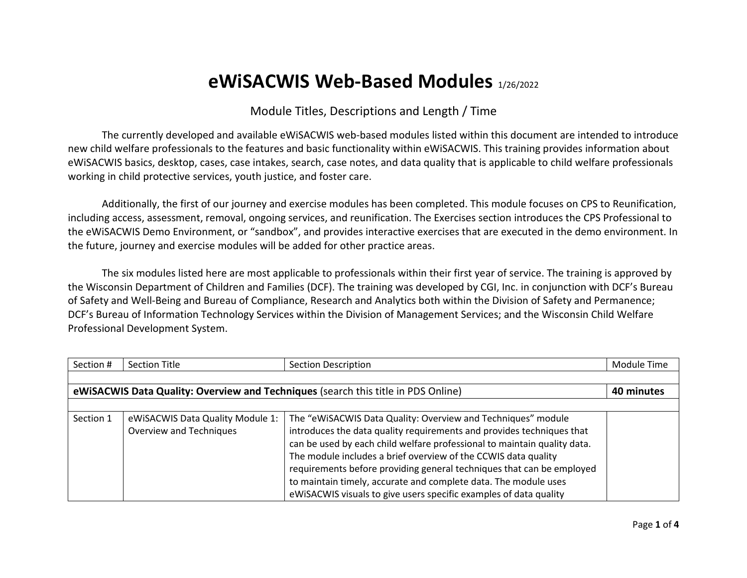## **eWiSACWIS Web-Based Modules** 1/26/2022

## Module Titles, Descriptions and Length / Time

The currently developed and available eWiSACWIS web-based modules listed within this document are intended to introduce new child welfare professionals to the features and basic functionality within eWiSACWIS. This training provides information about eWiSACWIS basics, desktop, cases, case intakes, search, case notes, and data quality that is applicable to child welfare professionals working in child protective services, youth justice, and foster care.

Additionally, the first of our journey and exercise modules has been completed. This module focuses on CPS to Reunification, including access, assessment, removal, ongoing services, and reunification. The Exercises section introduces the CPS Professional to the eWiSACWIS Demo Environment, or "sandbox", and provides interactive exercises that are executed in the demo environment. In the future, journey and exercise modules will be added for other practice areas.

The six modules listed here are most applicable to professionals within their first year of service. The training is approved by the Wisconsin Department of Children and Families (DCF). The training was developed by CGI, Inc. in conjunction with DCF's Bureau of Safety and Well-Being and Bureau of Compliance, Research and Analytics both within the Division of Safety and Permanence; DCF's Bureau of Information Technology Services within the Division of Management Services; and the Wisconsin Child Welfare Professional Development System.

| Section #                                                                                       | <b>Section Title</b>             | <b>Section Description</b>                                               | Module Time |  |  |  |
|-------------------------------------------------------------------------------------------------|----------------------------------|--------------------------------------------------------------------------|-------------|--|--|--|
|                                                                                                 |                                  |                                                                          |             |  |  |  |
| eWiSACWIS Data Quality: Overview and Techniques (search this title in PDS Online)<br>40 minutes |                                  |                                                                          |             |  |  |  |
|                                                                                                 |                                  |                                                                          |             |  |  |  |
| Section 1                                                                                       | eWiSACWIS Data Quality Module 1: | The "eWiSACWIS Data Quality: Overview and Techniques" module             |             |  |  |  |
|                                                                                                 | Overview and Techniques          | introduces the data quality requirements and provides techniques that    |             |  |  |  |
|                                                                                                 |                                  | can be used by each child welfare professional to maintain quality data. |             |  |  |  |
|                                                                                                 |                                  | The module includes a brief overview of the CCWIS data quality           |             |  |  |  |
|                                                                                                 |                                  | requirements before providing general techniques that can be employed    |             |  |  |  |
|                                                                                                 |                                  | to maintain timely, accurate and complete data. The module uses          |             |  |  |  |
|                                                                                                 |                                  | eWiSACWIS visuals to give users specific examples of data quality        |             |  |  |  |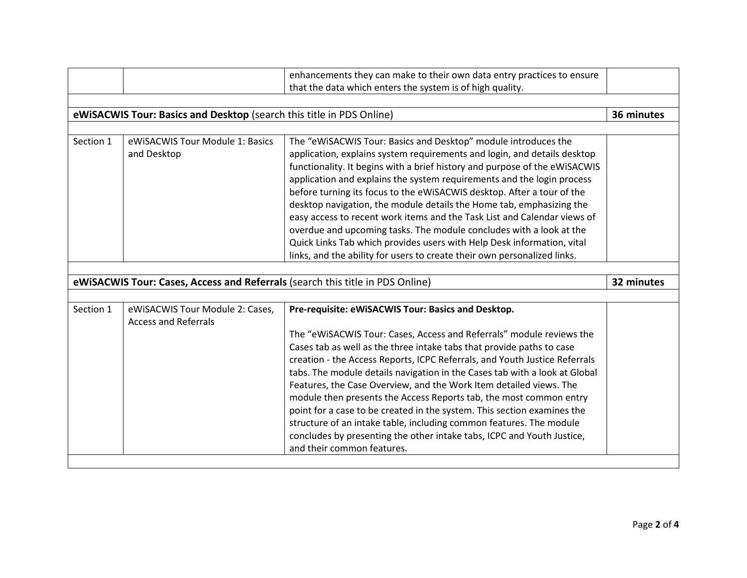|                                                                               |                                 | enhancements they can make to their own data entry practices to ensure     |            |  |  |  |
|-------------------------------------------------------------------------------|---------------------------------|----------------------------------------------------------------------------|------------|--|--|--|
|                                                                               |                                 | that the data which enters the system is of high quality.                  |            |  |  |  |
|                                                                               |                                 |                                                                            |            |  |  |  |
| eWiSACWIS Tour: Basics and Desktop (search this title in PDS Online)          |                                 |                                                                            |            |  |  |  |
|                                                                               |                                 |                                                                            |            |  |  |  |
| Section 1                                                                     | eWiSACWIS Tour Module 1: Basics | The "eWiSACWIS Tour: Basics and Desktop" module introduces the             |            |  |  |  |
|                                                                               | and Desktop                     | application, explains system requirements and login, and details desktop   |            |  |  |  |
|                                                                               |                                 | functionality. It begins with a brief history and purpose of the eWiSACWIS |            |  |  |  |
|                                                                               |                                 | application and explains the system requirements and the login process     |            |  |  |  |
|                                                                               |                                 | before turning its focus to the eWiSACWIS desktop. After a tour of the     |            |  |  |  |
|                                                                               |                                 | desktop navigation, the module details the Home tab, emphasizing the       |            |  |  |  |
|                                                                               |                                 | easy access to recent work items and the Task List and Calendar views of   |            |  |  |  |
|                                                                               |                                 | overdue and upcoming tasks. The module concludes with a look at the        |            |  |  |  |
|                                                                               |                                 | Quick Links Tab which provides users with Help Desk information, vital     |            |  |  |  |
|                                                                               |                                 | links, and the ability for users to create their own personalized links.   |            |  |  |  |
|                                                                               |                                 |                                                                            |            |  |  |  |
| eWiSACWIS Tour: Cases, Access and Referrals (search this title in PDS Online) |                                 |                                                                            |            |  |  |  |
|                                                                               |                                 |                                                                            | 32 minutes |  |  |  |
|                                                                               |                                 |                                                                            |            |  |  |  |
| Section 1                                                                     | eWiSACWIS Tour Module 2: Cases, | Pre-requisite: eWiSACWIS Tour: Basics and Desktop.                         |            |  |  |  |
|                                                                               | <b>Access and Referrals</b>     |                                                                            |            |  |  |  |
|                                                                               |                                 | The "eWiSACWIS Tour: Cases, Access and Referrals" module reviews the       |            |  |  |  |
|                                                                               |                                 | Cases tab as well as the three intake tabs that provide paths to case      |            |  |  |  |
|                                                                               |                                 | creation - the Access Reports, ICPC Referrals, and Youth Justice Referrals |            |  |  |  |
|                                                                               |                                 | tabs. The module details navigation in the Cases tab with a look at Global |            |  |  |  |
|                                                                               |                                 | Features, the Case Overview, and the Work Item detailed views. The         |            |  |  |  |
|                                                                               |                                 | module then presents the Access Reports tab, the most common entry         |            |  |  |  |
|                                                                               |                                 | point for a case to be created in the system. This section examines the    |            |  |  |  |
|                                                                               |                                 | structure of an intake table, including common features. The module        |            |  |  |  |
|                                                                               |                                 | concludes by presenting the other intake tabs, ICPC and Youth Justice,     |            |  |  |  |
|                                                                               |                                 | and their common features.                                                 |            |  |  |  |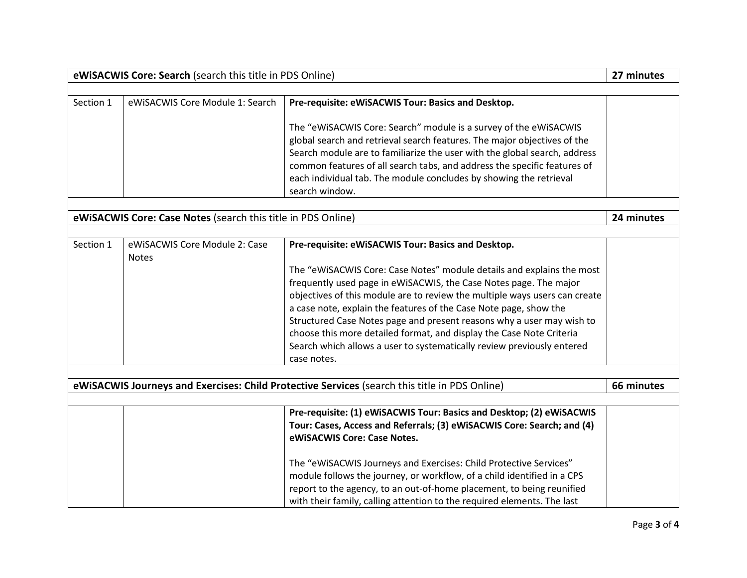| eWiSACWIS Core: Search (search this title in PDS Online)     |                                               |                                                                                                                                                                                                                                                                                                                                                                                                                                                                                                                                                                                               | 27 minutes |  |
|--------------------------------------------------------------|-----------------------------------------------|-----------------------------------------------------------------------------------------------------------------------------------------------------------------------------------------------------------------------------------------------------------------------------------------------------------------------------------------------------------------------------------------------------------------------------------------------------------------------------------------------------------------------------------------------------------------------------------------------|------------|--|
|                                                              |                                               |                                                                                                                                                                                                                                                                                                                                                                                                                                                                                                                                                                                               |            |  |
| Section 1                                                    | eWiSACWIS Core Module 1: Search               | Pre-requisite: eWiSACWIS Tour: Basics and Desktop.<br>The "eWiSACWIS Core: Search" module is a survey of the eWiSACWIS<br>global search and retrieval search features. The major objectives of the<br>Search module are to familiarize the user with the global search, address<br>common features of all search tabs, and address the specific features of<br>each individual tab. The module concludes by showing the retrieval<br>search window.                                                                                                                                           |            |  |
| eWiSACWIS Core: Case Notes (search this title in PDS Online) |                                               |                                                                                                                                                                                                                                                                                                                                                                                                                                                                                                                                                                                               |            |  |
|                                                              |                                               |                                                                                                                                                                                                                                                                                                                                                                                                                                                                                                                                                                                               | 24 minutes |  |
| Section 1                                                    | eWiSACWIS Core Module 2: Case<br><b>Notes</b> | Pre-requisite: eWiSACWIS Tour: Basics and Desktop.<br>The "eWiSACWIS Core: Case Notes" module details and explains the most<br>frequently used page in eWiSACWIS, the Case Notes page. The major<br>objectives of this module are to review the multiple ways users can create<br>a case note, explain the features of the Case Note page, show the<br>Structured Case Notes page and present reasons why a user may wish to<br>choose this more detailed format, and display the Case Note Criteria<br>Search which allows a user to systematically review previously entered<br>case notes. |            |  |
|                                                              |                                               |                                                                                                                                                                                                                                                                                                                                                                                                                                                                                                                                                                                               |            |  |
|                                                              |                                               | eWiSACWIS Journeys and Exercises: Child Protective Services (search this title in PDS Online)                                                                                                                                                                                                                                                                                                                                                                                                                                                                                                 | 66 minutes |  |
|                                                              |                                               | Pre-requisite: (1) eWiSACWIS Tour: Basics and Desktop; (2) eWiSACWIS<br>Tour: Cases, Access and Referrals; (3) eWiSACWIS Core: Search; and (4)<br>eWiSACWIS Core: Case Notes.<br>The "eWiSACWIS Journeys and Exercises: Child Protective Services"<br>module follows the journey, or workflow, of a child identified in a CPS<br>report to the agency, to an out-of-home placement, to being reunified<br>with their family, calling attention to the required elements. The last                                                                                                             |            |  |